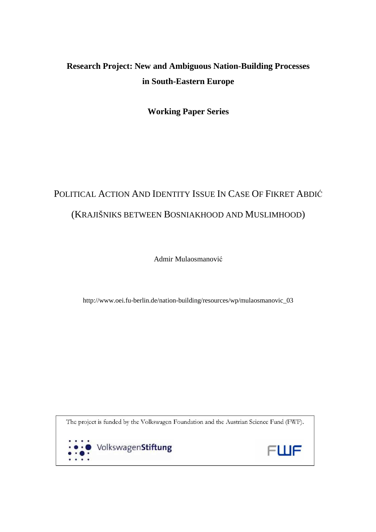## **Research Project: New and Ambiguous Nation-Building Processes in South-Eastern Europe**

**Working Paper Series** 

# POLITICAL ACTION AND IDENTITY ISSUE IN CASE OF FIKRET ABDIĆ (KRAJIŠNIKS BETWEEN BOSNIAKHOOD AND MUSLIMHOOD)

Admir Mulaosmanović

http://www.oei.fu-berlin.de/nation-building/resources/wp/mulaosmanovic\_03

The project is funded by the Volkswagen Foundation and the Austrian Science Fund (FWF).



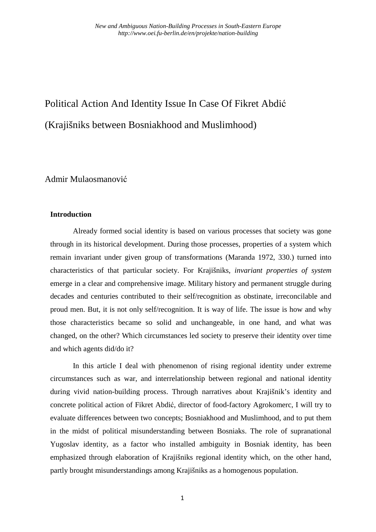# Political Action And Identity Issue In Case Of Fikret Abdić (Krajišniks between Bosniakhood and Muslimhood)

Admir Mulaosmanović

#### **Introduction**

Already formed social identity is based on various processes that society was gone through in its historical development. During those processes, properties of a system which remain invariant under given group of transformations (Maranda 1972, 330.) turned into characteristics of that particular society. For Krajišniks, *invariant properties of system* emerge in a clear and comprehensive image. Military history and permanent struggle during decades and centuries contributed to their self/recognition as obstinate, irreconcilable and proud men. But, it is not only self/recognition. It is way of life. The issue is how and why those characteristics became so solid and unchangeable, in one hand, and what was changed, on the other? Which circumstances led society to preserve their identity over time and which agents did/do it?

In this article I deal with phenomenon of rising regional identity under extreme circumstances such as war, and interrelationship between regional and national identity during vivid nation-building process. Through narratives about Krajišnik's identity and concrete political action of Fikret Abdić, director of food-factory Agrokomerc, I will try to evaluate differences between two concepts; Bosniakhood and Muslimhood, and to put them in the midst of political misunderstanding between Bosniaks. The role of supranational Yugoslav identity, as a factor who installed ambiguity in Bosniak identity, has been emphasized through elaboration of Krajišniks regional identity which, on the other hand, partly brought misunderstandings among Krajišniks as a homogenous population.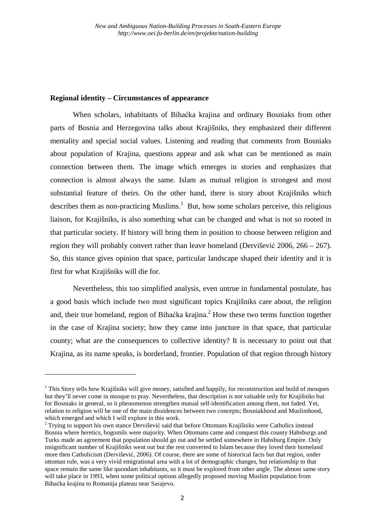#### **Regional identity – Circumstances of appearance**

l

When scholars, inhabitants of Bihaćka krajina and ordinary Bosniaks from other parts of Bosnia and Herzegovina talks about Krajišniks, they emphasized their different mentality and special social values. Listening and reading that comments from Bosniaks about population of Krajina, questions appear and ask what can be mentioned as main connection between them. The image which emerges in stories and emphasizes that connection is almost always the same. Islam as mutual religion is strongest and most substantial feature of theirs. On the other hand, there is story about Krajišniks which describes them as non-practicing Muslims.<sup>1</sup> But, how some scholars perceive, this religious liaison, for Krajišniks, is also something what can be changed and what is not so rooted in that particular society. If history will bring them in position to choose between religion and region they will probably convert rather than leave homeland (Dervišević 2006, 266 – 267). So, this stance gives opinion that space, particular landscape shaped their identity and it is first for what Krajišniks will die for.

Nevertheless, this too simplified analysis, even untrue in fundamental postulate, has a good basis which include two most significant topics Krajišniks care about, the religion and, their true homeland, region of Bihaćka krajina. $<sup>2</sup>$  How these two terms function together</sup> in the case of Krajina society; how they came into juncture in that space, that particular county; what are the consequences to collective identity? It is necessary to point out that Krajina, as its name speaks, is borderland, frontier. Population of that region through history

<sup>&</sup>lt;sup>1</sup> This Story tells how Krajišniks will give money, satisfied and happily, for reconstruction and build of mosques but they'll never come in mosque to pray. Nevertheless, that description is not valuable only for Krajišniks but for Bosniaks in general, so it phenomenon strengthen mutual self-identification among them, not faded. Yet, relation to religion will be one of the main dissidences between two concepts; Bosniakhood and Muslimhood, which emerged and which I will explore in this work.

<sup>&</sup>lt;sup>2</sup> Trying to support his own stance Dervišević said that before Ottomans Krajišniks were Catholics instead Bosnia where heretics, bogomils were majority. When Ottomans came and conquest this county Habsburgs and Turks made an agreement that population should go out and be settled somewhere in Habsburg Empire. Only insignificant number of Krajišniks went out but the rest converted to Islam because they loved their homeland more then Catholicism (Dervišević, 2006). Of course, there are some of historical facts but that region, under ottoman rule, was a very vivid emigrational area with a lot of demographic changes, but relationship to that space remain the same like quondam inhabitants, so it must be explored from other angle. The almost same story will take place in 1993, when some political options allegedly proposed moving Muslim population from Bihaćka krajina to Romanija plateau near Sarajevo.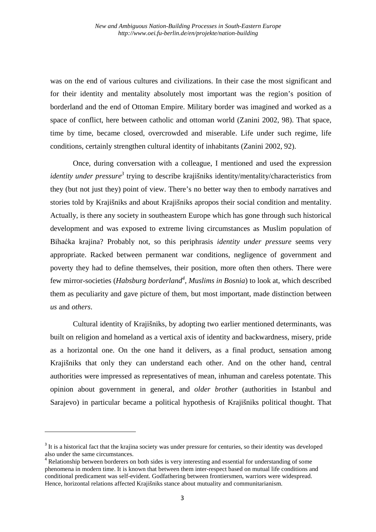was on the end of various cultures and civilizations. In their case the most significant and for their identity and mentality absolutely most important was the region's position of borderland and the end of Ottoman Empire. Military border was imagined and worked as a space of conflict, here between catholic and ottoman world (Zanini 2002, 98). That space, time by time, became closed, overcrowded and miserable. Life under such regime, life conditions, certainly strengthen cultural identity of inhabitants (Zanini 2002, 92).

Once, during conversation with a colleague, I mentioned and used the expression identity under pressure<sup>3</sup> trying to describe krajišniks identity/mentality/characteristics from they (but not just they) point of view. There's no better way then to embody narratives and stories told by Krajišniks and about Krajišniks apropos their social condition and mentality. Actually, is there any society in southeastern Europe which has gone through such historical development and was exposed to extreme living circumstances as Muslim population of Bihaćka krajina? Probably not, so this periphrasis *identity under pressure* seems very appropriate. Racked between permanent war conditions, negligence of government and poverty they had to define themselves, their position, more often then others. There were few mirror-societies (*Habsburg borderland<sup>4</sup>* , *Muslims in Bosnia*) to look at, which described them as peculiarity and gave picture of them, but most important, made distinction between *us* and *others*.

Cultural identity of Krajišniks, by adopting two earlier mentioned determinants, was built on religion and homeland as a vertical axis of identity and backwardness, misery, pride as a horizontal one. On the one hand it delivers, as a final product, sensation among Krajišniks that only they can understand each other. And on the other hand, central authorities were impressed as representatives of mean, inhuman and careless potentate. This opinion about government in general, and *older brother* (authorities in Istanbul and Sarajevo) in particular became a political hypothesis of Krajišniks political thought. That

<sup>&</sup>lt;sup>3</sup> It is a historical fact that the krajina society was under pressure for centuries, so their identity was developed also under the same circumstances.

<sup>&</sup>lt;sup>4</sup> Relationship between borderers on both sides is very interesting and essential for understanding of some phenomena in modern time. It is known that between them inter-respect based on mutual life conditions and conditional predicament was self-evident. Godfathering between frontiersmen, warriors were widespread. Hence, horizontal relations affected Krajišniks stance about mutuality and communitarianism.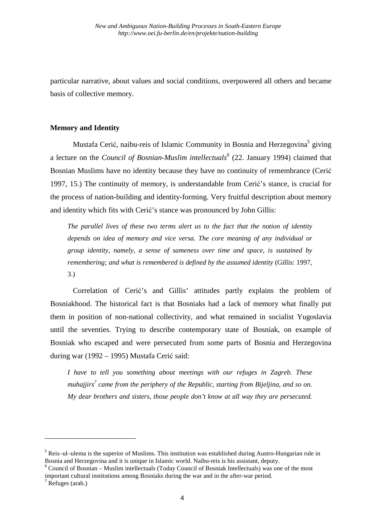particular narrative, about values and social conditions, overpowered all others and became basis of collective memory.

#### **Memory and Identity**

Mustafa Cerić, naibu-reis of Islamic Community in Bosnia and Herzegovina<sup>5</sup> giving a lecture on the *Council of Bosnian-Muslim intellectuals<sup>6</sup>* (22. January 1994) claimed that Bosnian Muslims have no identity because they have no continuity of remembrance (Cerić 1997, 15.) The continuity of memory, is understandable from Cerić's stance, is crucial for the process of nation-building and identity-forming. Very fruitful description about memory and identity which fits with Cerić's stance was pronounced by John Gillis:

*The parallel lives of these two terms alert us to the fact that the notion of identity depends on idea of memory and vice versa. The core meaning of any individual or group identity, namely, a sense of sameness over time and space, is sustained by remembering; and what is remembered is defined by the assumed identity* (Gillis: 1997, 3.)

Correlation of Cerić's and Gillis' attitudes partly explains the problem of Bosniakhood. The historical fact is that Bosniaks had a lack of memory what finally put them in position of non-national collectivity, and what remained in socialist Yugoslavia until the seventies. Trying to describe contemporary state of Bosniak, on example of Bosniak who escaped and were persecuted from some parts of Bosnia and Herzegovina during war (1992 – 1995) Mustafa Cerić said:

*I have to tell you something about meetings with our refuges in Zagreb. These muhajjirs<sup>7</sup> came from the periphery of the Republic, starting from Bijeljina, and so on. My dear brothers and sisters, those people don't know at all way they are persecuted.* 

<sup>&</sup>lt;sup>5</sup> Reis–ul–ulema is the superior of Muslims. This institution was established during Austro-Hungarian rule in Bosnia and Herzegovina and it is unique in Islamic world. Naibu-reis is his assistant, deputy.

<sup>&</sup>lt;sup>6</sup> Council of Bosnian – Muslim intellectuals (Today Council of Bosniak Intellectuals) was one of the most important cultural institutions among Bosniaks during the war and in the after-war period.

 $\sqrt{7}$  Refuges (arab.)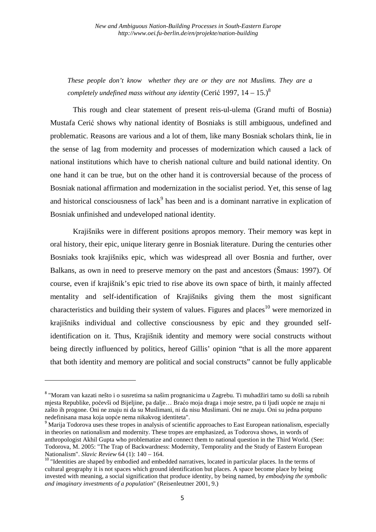*These people don't know whether they are or they are not Muslims. They are a completely undefined mass without any identity* (Cerić 1997,  $14-15$ .)<sup>8</sup>

This rough and clear statement of present reis-ul-ulema (Grand mufti of Bosnia) Mustafa Cerić shows why national identity of Bosniaks is still ambiguous, undefined and problematic. Reasons are various and a lot of them, like many Bosniak scholars think, lie in the sense of lag from modernity and processes of modernization which caused a lack of national institutions which have to cherish national culture and build national identity. On one hand it can be true, but on the other hand it is controversial because of the process of Bosniak national affirmation and modernization in the socialist period. Yet, this sense of lag and historical consciousness of lack<sup>9</sup> has been and is a dominant narrative in explication of Bosniak unfinished and undeveloped national identity.

Krajišniks were in different positions apropos memory. Their memory was kept in oral history, their epic, unique literary genre in Bosniak literature. During the centuries other Bosniaks took krajišniks epic, which was widespread all over Bosnia and further, over Balkans, as own in need to preserve memory on the past and ancestors (Šmaus: 1997). Of course, even if krajišnik's epic tried to rise above its own space of birth, it mainly affected mentality and self-identification of Krajišniks giving them the most significant characteristics and building their system of values. Figures and places<sup>10</sup> were memorized in krajišniks individual and collective consciousness by epic and they grounded selfidentification on it. Thus, Krajišnik identity and memory were social constructs without being directly influenced by politics, hereof Gillis' opinion "that is all the more apparent that both identity and memory are political and social constructs" cannot be fully applicable

<sup>&</sup>lt;sup>8</sup> "Moram van kazati nešto i o susretima sa našim prognanicima u Zagrebu. Ti muhadžiri tamo su došli sa rubnih mjesta Republike, počevši od Bijeljine, pa dalje… Braćo moja draga i moje sestre, pa ti ljudi uopće ne znaju ni zašto ih progone. Oni ne znaju ni da su Muslimani, ni da nisu Muslimani. Oni ne znaju. Oni su jedna potpuno nedefinisana masa koja uopće nema nikakvog identiteta".

<sup>&</sup>lt;sup>9</sup> Marija Todorova uses these tropes in analysis of scientific approaches to East European nationalism, especially in theories on nationalism and modernity. These tropes are emphasized, as Todorova shows, in words of anthropologist Akhil Gupta who problematize and connect them to national question in the Third World. (See: Todorova, M. 2005: "The Trap of Backwardness: Modernity, Temporality and the Study of Eastern European Nationalism". *Slavic Review* 64 (1): 140 – 164.

<sup>&</sup>lt;sup>10</sup> "Identities are shaped by embodied and embedded narratives, located in particular places. In the terms of cultural geography it is not spaces which ground identification but places. A space become place by being invested with meaning, a social signification that produce identity, by being named, by *embodying the symbolic and imaginary investments of a population*" (Reisenleutner 2001, 9.)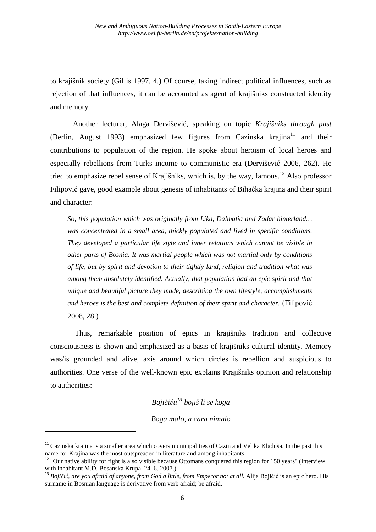to krajišnik society (Gillis 1997, 4.) Of course, taking indirect political influences, such as rejection of that influences, it can be accounted as agent of krajišniks constructed identity and memory.

Another lecturer, Alaga Dervišević, speaking on topic *Krajišniks through past* (Berlin, August 1993) emphasized few figures from Cazinska krajina<sup>11</sup> and their contributions to population of the region. He spoke about heroism of local heroes and especially rebellions from Turks income to communistic era (Dervišević 2006, 262). He tried to emphasize rebel sense of Krajišniks, which is, by the way, famous.<sup>12</sup> Also professor Filipović gave, good example about genesis of inhabitants of Bihaćka krajina and their spirit and character:

*So, this population which was originally from Lika, Dalmatia and Zadar hinterland… was concentrated in a small area, thickly populated and lived in specific conditions. They developed a particular life style and inner relations which cannot be visible in other parts of Bosnia. It was martial people which was not martial only by conditions of life, but by spirit and devotion to their tightly land, religion and tradition what was among them absolutely identified. Actually, that population had an epic spirit and that unique and beautiful picture they made, describing the own lifestyle, accomplishments and heroes is the best and complete definition of their spirit and character.* (Filipović 2008, 28.)

 Thus, remarkable position of epics in krajišniks tradition and collective consciousness is shown and emphasized as a basis of krajišniks cultural identity. Memory was/is grounded and alive, axis around which circles is rebellion and suspicious to authorities. One verse of the well-known epic explains Krajišniks opinion and relationship to authorities:

*Bojičiću <sup>13</sup> bojiš li se koga* 

*Boga malo, a cara nimalo*

<sup>&</sup>lt;sup>11</sup> Cazinska krajina is a smaller area which covers municipalities of Cazin and Velika Kladuša. In the past this name for Krajina was the most outspreaded in literature and among inhabitants.

<sup>&</sup>lt;sup>12</sup> "Our native ability for fight is also visible because Ottomans conquered this region for 150 years" (Interview with inhabitant M.D. Bosanska Krupa, 24. 6. 2007.)

<sup>&</sup>lt;sup>13</sup> Bojičić, are you afraid of anyone, from God a little, from Emperor not at all. Alija Bojičić is an epic hero. His surname in Bosnian language is derivative from verb afraid; be afraid.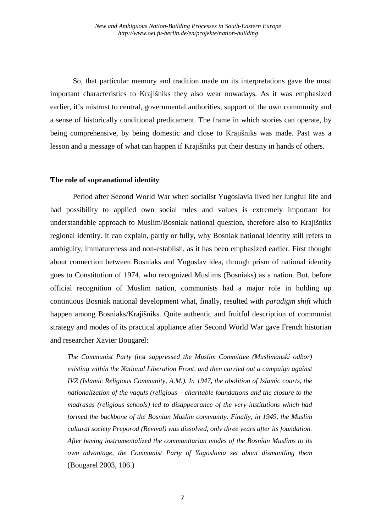So, that particular memory and tradition made on its interpretations gave the most important characteristics to Krajišniks they also wear nowadays. As it was emphasized earlier, it's mistrust to central, governmental authorities, support of the own community and a sense of historically conditional predicament. The frame in which stories can operate, by being comprehensive, by being domestic and close to Krajišniks was made. Past was a lesson and a message of what can happen if Krajišniks put their destiny in hands of others.

#### **The role of supranational identity**

Period after Second World War when socialist Yugoslavia lived her lungful life and had possibility to applied own social rules and values is extremely important for understandable approach to Muslim/Bosniak national question, therefore also to Krajišniks regional identity. It can explain, partly or fully, why Bosniak national identity still refers to ambiguity, immatureness and non-establish, as it has been emphasized earlier. First thought about connection between Bosniaks and Yugoslav idea, through prism of national identity goes to Constitution of 1974, who recognized Muslims (Bosniaks) as a nation. But, before official recognition of Muslim nation, communists had a major role in holding up continuous Bosniak national development what, finally, resulted with *paradigm shift* which happen among Bosniaks/Krajišniks. Quite authentic and fruitful description of communist strategy and modes of its practical appliance after Second World War gave French historian and researcher Xavier Bougarel:

*The Communist Party first suppressed the Muslim Committee (Muslimanski odbor) existing within the National Liberation Front, and then carried out a campaign against IVZ (Islamic Religious Community, A.M.). In 1947, the abolition of Islamic courts, the nationalization of the vaqufs (religious – charitable foundations and the closure to the madrasas (religious schools) led to disappearance of the very institutions which had formed the backbone of the Bosnian Muslim community. Finally, in 1949, the Muslim cultural society Preporod (Revival) was dissolved, only three years after its foundation. After having instrumentalized the communitarian modes of the Bosnian Muslims to its own advantage, the Communist Party of Yugoslavia set about dismantling them*  (Bougarel 2003, 106.)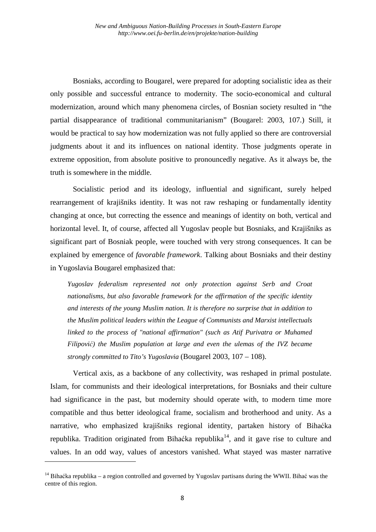Bosniaks, according to Bougarel, were prepared for adopting socialistic idea as their only possible and successful entrance to modernity. The socio-economical and cultural modernization, around which many phenomena circles, of Bosnian society resulted in "the partial disappearance of traditional communitarianism" (Bougarel: 2003, 107.) Still, it would be practical to say how modernization was not fully applied so there are controversial judgments about it and its influences on national identity. Those judgments operate in extreme opposition, from absolute positive to pronouncedly negative. As it always be, the truth is somewhere in the middle.

Socialistic period and its ideology, influential and significant, surely helped rearrangement of krajišniks identity. It was not raw reshaping or fundamentally identity changing at once, but correcting the essence and meanings of identity on both, vertical and horizontal level. It, of course, affected all Yugoslav people but Bosniaks, and Krajišniks as significant part of Bosniak people, were touched with very strong consequences. It can be explained by emergence of *favorable framework*. Talking about Bosniaks and their destiny in Yugoslavia Bougarel emphasized that:

*Yugoslav federalism represented not only protection against Serb and Croat nationalisms, but also favorable framework for the affirmation of the specific identity and interests of the young Muslim nation. It is therefore no surprise that in addition to the Muslim political leaders within the League of Communists and Marxist intellectuals linked to the process of "national affirmation" (such as Atif Purivatra or Muhamed Filipović) the Muslim population at large and even the ulemas of the IVZ became strongly committed to Tito's Yugoslavia* (Bougarel 2003, 107 – 108).

Vertical axis, as a backbone of any collectivity, was reshaped in primal postulate. Islam, for communists and their ideological interpretations, for Bosniaks and their culture had significance in the past, but modernity should operate with, to modern time more compatible and thus better ideological frame, socialism and brotherhood and unity. As a narrative, who emphasized krajišniks regional identity, partaken history of Bihaćka republika. Tradition originated from Bihaćka republika<sup>14</sup>, and it gave rise to culture and values. In an odd way, values of ancestors vanished. What stayed was master narrative

<sup>&</sup>lt;sup>14</sup> Bihaćka republika – a region controlled and governed by Yugoslav partisans during the WWII. Bihać was the centre of this region.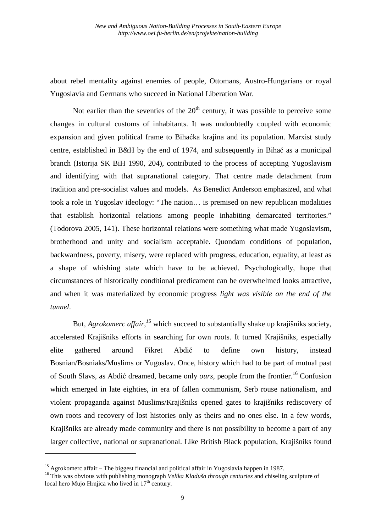about rebel mentality against enemies of people, Ottomans, Austro-Hungarians or royal Yugoslavia and Germans who succeed in National Liberation War.

Not earlier than the seventies of the  $20<sup>th</sup>$  century, it was possible to perceive some changes in cultural customs of inhabitants. It was undoubtedly coupled with economic expansion and given political frame to Bihaćka krajina and its population. Marxist study centre, established in B&H by the end of 1974, and subsequently in Bihać as a municipal branch (Istorija SK BiH 1990, 204), contributed to the process of accepting Yugoslavism and identifying with that supranational category. That centre made detachment from tradition and pre-socialist values and models. As Benedict Anderson emphasized, and what took a role in Yugoslav ideology: "The nation… is premised on new republican modalities that establish horizontal relations among people inhabiting demarcated territories." (Todorova 2005, 141). These horizontal relations were something what made Yugoslavism, brotherhood and unity and socialism acceptable. Quondam conditions of population, backwardness, poverty, misery, were replaced with progress, education, equality, at least as a shape of whishing state which have to be achieved. Psychologically, hope that circumstances of historically conditional predicament can be overwhelmed looks attractive, and when it was materialized by economic progress *light was visible on the end of the tunnel*.

But, *Agrokomerc affair*,<sup>15</sup> which succeed to substantially shake up krajišniks society, accelerated Krajišniks efforts in searching for own roots. It turned Krajišniks, especially elite gathered around Fikret Abdić to define own history, instead Bosnian/Bosniaks/Muslims or Yugoslav. Once, history which had to be part of mutual past of South Slavs, as Abdić dreamed, became only *ours*, people from the frontier.<sup>16</sup> Confusion which emerged in late eighties, in era of fallen communism, Serb rouse nationalism, and violent propaganda against Muslims/Krajišniks opened gates to krajišniks rediscovery of own roots and recovery of lost histories only as theirs and no ones else. In a few words, Krajišniks are already made community and there is not possibility to become a part of any larger collective, national or supranational. Like British Black population, Krajišniks found

<sup>&</sup>lt;sup>15</sup> Agrokomerc affair – The biggest financial and political affair in Yugoslavia happen in 1987.

<sup>&</sup>lt;sup>16</sup> This was obvious with publishing monograph *Velika Kladuša through centuries* and chiseling sculpture of local hero Mujo Hrnjica who lived in  $17<sup>th</sup>$  century.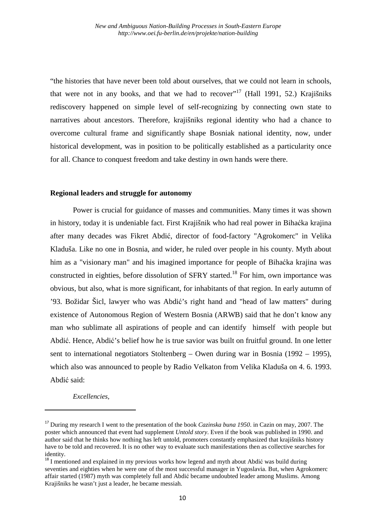"the histories that have never been told about ourselves, that we could not learn in schools, that were not in any books, and that we had to recover"<sup>17</sup> (Hall 1991, 52.) Krajišniks rediscovery happened on simple level of self-recognizing by connecting own state to narratives about ancestors. Therefore, krajišniks regional identity who had a chance to overcome cultural frame and significantly shape Bosniak national identity, now, under historical development, was in position to be politically established as a particularity once for all. Chance to conquest freedom and take destiny in own hands were there.

#### **Regional leaders and struggle for autonomy**

Power is crucial for guidance of masses and communities. Many times it was shown in history, today it is undeniable fact. First Krajišnik who had real power in Bihaćka krajina after many decades was Fikret Abdić, director of food-factory "Agrokomerc" in Velika Kladuša. Like no one in Bosnia, and wider, he ruled over people in his county. Myth about him as a "visionary man" and his imagined importance for people of Bihaćka krajina was constructed in eighties, before dissolution of  $SFRY$  started.<sup>18</sup> For him, own importance was obvious, but also, what is more significant, for inhabitants of that region. In early autumn of '93. Božidar Šicl, lawyer who was Abdić's right hand and "head of law matters" during existence of Autonomous Region of Western Bosnia (ARWB) said that he don't know any man who sublimate all aspirations of people and can identify himself with people but Abdić. Hence, Abdić's belief how he is true savior was built on fruitful ground. In one letter sent to international negotiators Stoltenberg – Owen during war in Bosnia (1992 – 1995), which also was announced to people by Radio Velkaton from Velika Kladuša on 4. 6. 1993. Abdić said:

*Excellencies,* 

<sup>17</sup> During my research I went to the presentation of the book *Cazinska buna 1950*. in Cazin on may, 2007. The poster which announced that event had supplement *Untold story*. Even if the book was published in 1990. and author said that he thinks how nothing has left untold, promoters constantly emphasized that krajišniks history have to be told and recovered. It is no other way to evaluate such manifestations then as collective searches for identity.

<sup>&</sup>lt;sup>18</sup> I mentioned and explained in my previous works how legend and myth about Abdić was build during seventies and eighties when he were one of the most successful manager in Yugoslavia. But, when Agrokomerc affair started (1987) myth was completely full and Abdić became undoubted leader among Muslims. Among Krajišniks he wasn't just a leader, he became messiah.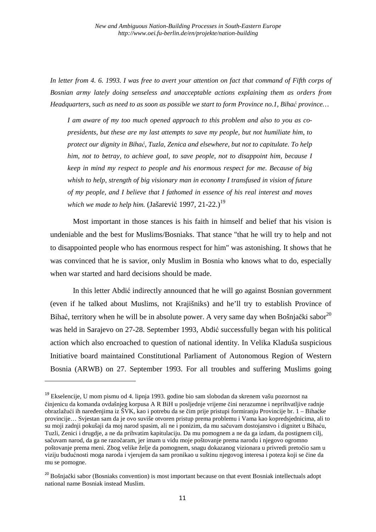*In letter from 4. 6. 1993. I was free to avert your attention on fact that command of Fifth corps of Bosnian army lately doing senseless and unacceptable actions explaining them as orders from Headquarters, such as need to as soon as possible we start to form Province no.1, Bihać province…* 

*I am aware of my too much opened approach to this problem and also to you as copresidents, but these are my last attempts to save my people, but not humiliate him, to protect our dignity in Bihać, Tuzla, Zenica and elsewhere, but not to capitulate. To help him, not to betray, to achieve goal, to save people, not to disappoint him, because I keep in mind my respect to people and his enormous respect for me. Because of big whish to help, strength of big visionary man in economy I transfused in vision of future of my people, and I believe that I fathomed in essence of his real interest and moves which we made to help him.* (Jašarević 1997, 21-22.)<sup>19</sup>

Most important in those stances is his faith in himself and belief that his vision is undeniable and the best for Muslims/Bosniaks. That stance "that he will try to help and not to disappointed people who has enormous respect for him" was astonishing. It shows that he was convinced that he is savior, only Muslim in Bosnia who knows what to do, especially when war started and hard decisions should be made.

In this letter Abdić indirectly announced that he will go against Bosnian government (even if he talked about Muslims, not Krajišniks) and he'll try to establish Province of Bihać, territory when he will be in absolute power. A very same day when Bošnjački sabor $^{20}$ was held in Sarajevo on 27-28. September 1993, Abdić successfully began with his political action which also encroached to question of national identity. In Velika Kladuša suspicious Initiative board maintained Constitutional Parliament of Autonomous Region of Western Bosnia (ARWB) on 27. September 1993. For all troubles and suffering Muslims going

<sup>&</sup>lt;sup>19</sup> Ekselencije, U mom pismu od 4. lipnja 1993. godine bio sam slobodan da skrenem vašu pozornost na činjenicu da komanda ovdašnjeg korpusa A R BiH u posljednje vrijeme čini nerazumne i neprihvatljive radnje obrazlažući ih naređenjima iz ŠVK, kao i potrebu da se čim prije pristupi formiranju Provincije br. 1 – Bihaćke provincije… Svjestan sam da je ovo suviše otvoren pristup prema problemu i Vama kao kopredsjednicima, ali to su moji zadnji pokušaji da moj narod spasim, ali ne i ponizim, da mu sačuvam dostojanstvo i dignitet u Bihaću, Tuzli, Zenici i drugdje, a ne da prihvatim kapitulaciju. Da mu pomognem a ne da ga izdam, da postignem cilj, sačuvam narod, da ga ne razočaram, jer imam u vidu moje poštovanje prema narodu i njegovo ogromno poštovanje prema meni. Zbog velike želje da pomognem, snagu dokazanog vizionara u privredi pretočio sam u viziju budućnosti moga naroda i vjerujem da sam pronikao u suštinu njegovog interesa i poteza koji se čine da mu se pomogne.

<sup>&</sup>lt;sup>20</sup> Bošnjački sabor (Bosniaks convention) is most important because on that event Bosniak intellectuals adopt national name Bosniak instead Muslim.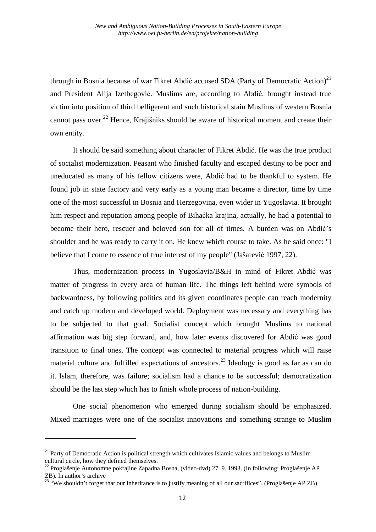through in Bosnia because of war Fikret Abdić accused SDA (Party of Democratic Action)<sup>21</sup> and President Alija Izetbegović. Muslims are, according to Abdić, brought instead true victim into position of third belligerent and such historical stain Muslims of western Bosnia cannot pass over.<sup>22</sup> Hence, Krajišniks should be aware of historical moment and create their own entity.

It should be said something about character of Fikret Abdić. He was the true product of socialist modernization. Peasant who finished faculty and escaped destiny to be poor and uneducated as many of his fellow citizens were, Abdić had to be thankful to system. He found job in state factory and very early as a young man became a director, time by time one of the most successful in Bosnia and Herzegovina, even wider in Yugoslavia. It brought him respect and reputation among people of Bihaćka krajina, actually, he had a potential to become their hero, rescuer and beloved son for all of times. A burden was on Abdić's shoulder and he was ready to carry it on. He knew which course to take. As he said once: "I believe that I come to essence of true interest of my people" (Jašarević 1997, 22).

Thus, modernization process in Yugoslavia/B&H in mind of Fikret Abdić was matter of progress in every area of human life. The things left behind were symbols of backwardness, by following politics and its given coordinates people can reach modernity and catch up modern and developed world. Deployment was necessary and everything has to be subjected to that goal. Socialist concept which brought Muslims to national affirmation was big step forward, and, how later events discovered for Abdić was good transition to final ones. The concept was connected to material progress which will raise material culture and fulfilled expectations of ancestors.<sup>23</sup> Ideology is good as far as can do it. Islam, therefore, was failure; socialism had a chance to be successful; democratization should be the last step which has to finish whole process of nation-building.

One social phenomenon who emerged during socialism should be emphasized. Mixed marriages were one of the socialist innovations and something strange to Muslim

<sup>&</sup>lt;sup>21</sup> Party of Democratic Action is political strength which cultivates Islamic values and belongs to Muslim cultural circle, how they defined themselves.

<sup>22</sup> Proglašenje Autonomne pokrajine Zapadna Bosna, (video-dvd) 27. 9. 1993. (In following: Proglašenje AP ZB). In author's archive

<sup>&</sup>lt;sup>23</sup> "We shouldn't forget that our inheritance is to justify meaning of all our sacrifices". (Proglašenje AP ZB)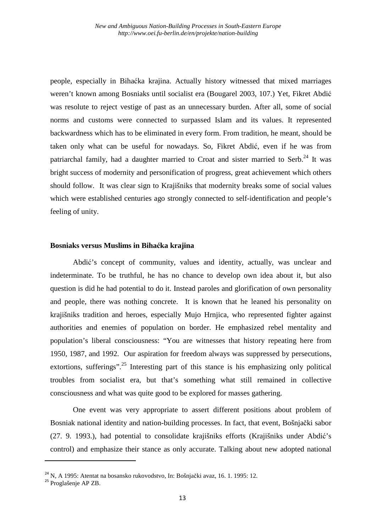people, especially in Bihaćka krajina. Actually history witnessed that mixed marriages weren't known among Bosniaks until socialist era (Bougarel 2003, 107.) Yet, Fikret Abdić was resolute to reject vestige of past as an unnecessary burden. After all, some of social norms and customs were connected to surpassed Islam and its values. It represented backwardness which has to be eliminated in every form. From tradition, he meant, should be taken only what can be useful for nowadays. So, Fikret Abdić, even if he was from patriarchal family, had a daughter married to Croat and sister married to Serb.<sup>24</sup> It was bright success of modernity and personification of progress, great achievement which others should follow. It was clear sign to Krajišniks that modernity breaks some of social values which were established centuries ago strongly connected to self-identification and people's feeling of unity.

### **Bosniaks versus Muslims in Bihaćka krajina**

Abdić's concept of community, values and identity, actually, was unclear and indeterminate. To be truthful, he has no chance to develop own idea about it, but also question is did he had potential to do it. Instead paroles and glorification of own personality and people, there was nothing concrete. It is known that he leaned his personality on krajišniks tradition and heroes, especially Mujo Hrnjica, who represented fighter against authorities and enemies of population on border. He emphasized rebel mentality and population's liberal consciousness: "You are witnesses that history repeating here from 1950, 1987, and 1992. Our aspiration for freedom always was suppressed by persecutions, extortions, sufferings". <sup>25</sup> Interesting part of this stance is his emphasizing only political troubles from socialist era, but that's something what still remained in collective consciousness and what was quite good to be explored for masses gathering.

One event was very appropriate to assert different positions about problem of Bosniak national identity and nation-building processes. In fact, that event, Bošnjački sabor (27. 9. 1993.), had potential to consolidate krajišniks efforts (Krajišniks under Abdić's control) and emphasize their stance as only accurate. Talking about new adopted national

<sup>&</sup>lt;sup>24</sup> N. A 1995: Atentat na bosansko rukovodstvo, In: Bošnjački avaz, 16. 1. 1995: 12.

<sup>25</sup> Proglašenje AP ZB.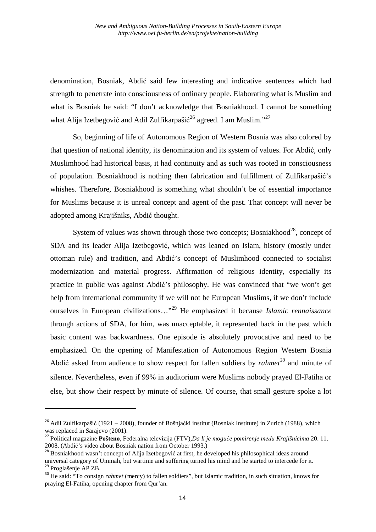denomination, Bosniak, Abdić said few interesting and indicative sentences which had strength to penetrate into consciousness of ordinary people. Elaborating what is Muslim and what is Bosniak he said: "I don't acknowledge that Bosniakhood. I cannot be something what Alija Izetbegović and Adil Zulfikarpašić<sup>26</sup> agreed. I am Muslim."<sup>27</sup>

So, beginning of life of Autonomous Region of Western Bosnia was also colored by that question of national identity, its denomination and its system of values. For Abdić, only Muslimhood had historical basis, it had continuity and as such was rooted in consciousness of population. Bosniakhood is nothing then fabrication and fulfillment of Zulfikarpašić's whishes. Therefore, Bosniakhood is something what shouldn't be of essential importance for Muslims because it is unreal concept and agent of the past. That concept will never be adopted among Krajišniks, Abdić thought.

System of values was shown through those two concepts: Bosniakhood<sup>28</sup>, concept of SDA and its leader Alija Izetbegović, which was leaned on Islam, history (mostly under ottoman rule) and tradition, and Abdić's concept of Muslimhood connected to socialist modernization and material progress. Affirmation of religious identity, especially its practice in public was against Abdić's philosophy. He was convinced that "we won't get help from international community if we will not be European Muslims, if we don't include ourselves in European civilizations…"<sup>29</sup> He emphasized it because *Islamic rennaissance* through actions of SDA, for him, was unacceptable, it represented back in the past which basic content was backwardness. One episode is absolutely provocative and need to be emphasized. On the opening of Manifestation of Autonomous Region Western Bosnia Abdić asked from audience to show respect for fallen soldiers by *rahmet<sup>30</sup>* and minute of silence. Nevertheless, even if 99% in auditorium were Muslims nobody prayed El-Fatiha or else, but show their respect by minute of silence. Of course, that small gesture spoke a lot

<sup>&</sup>lt;sup>26</sup> Adil Zulfikarpašić (1921 – 2008), founder of Bošniački institut (Bosniak Institute) in Zurich (1988), which was replaced in Sarajevo (2001).

<sup>27</sup> Political magazine **Pošteno**, Federalna televizija (FTV),*Da li je moguće pomirenje među Krajišnicima* 20. 11. 2008. (Abdić's video about Bosniak nation from October 1993.)

<sup>&</sup>lt;sup>28</sup> Bosniakhood wasn't concept of Alija Izetbegović at first, he developed his philosophical ideas around universal category of Ummah, but wartime and suffering turned his mind and he started to intercede for it. <sup>29</sup> Proglašenje AP ZB.

<sup>&</sup>lt;sup>30</sup> He said: "To consign *rahmet* (mercy) to fallen soldiers", but Islamic tradition, in such situation, knows for praying El-Fatiha, opening chapter from Qur'an.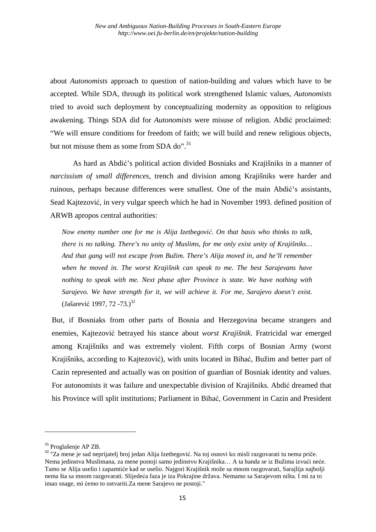about *Autonomists* approach to question of nation-building and values which have to be accepted. While SDA, through its political work strengthened Islamic values, *Autonomists* tried to avoid such deployment by conceptualizing modernity as opposition to religious awakening. Things SDA did for *Autonomists* were misuse of religion. Abdić proclaimed: "We will ensure conditions for freedom of faith; we will build and renew religious objects, but not misuse them as some from SDA do". $31$ 

As hard as Abdić's political action divided Bosniaks and Krajišniks in a manner of *narcissism of small differences*, trench and division among Krajišniks were harder and ruinous, perhaps because differences were smallest. One of the main Abdić's assistants, Sead Kajtezović, in very vulgar speech which he had in November 1993. defined position of ARWB apropos central authorities:

*Now enemy number one for me is Alija Izetbegović. On that basis who thinks to talk, there is no talking. There's no unity of Muslims, for me only exist unity of Krajišniks… And that gang will not escape from Bužim. There's Alija moved in, and he'll remember when he moved in. The worst Krajišnik can speak to me. The best Sarajevans have nothing to speak with me. Next phase after Province is state. We have nothing with Sarajevo. We have strength for it, we will achieve it. For me, Sarajevo doesn't exist.* (Jašarević 1997, 72 -73.)<sup>32</sup>

But, if Bosniaks from other parts of Bosnia and Herzegovina became strangers and enemies, Kajtezović betrayed his stance about *worst Krajišnik*. Fratricidal war emerged among Krajišniks and was extremely violent. Fifth corps of Bosnian Army (worst Krajišniks, according to Kajtezović), with units located in Bihać, Bužim and better part of Cazin represented and actually was on position of guardian of Bosniak identity and values. For autonomists it was failure and unexpectable division of Krajišniks. Abdić dreamed that his Province will split institutions; Parliament in Bihać, Government in Cazin and President

<sup>&</sup>lt;sup>31</sup> Proglašenie AP ZB.

<sup>&</sup>lt;sup>32</sup> "Za mene je sad neprijatelj broj jedan Alija Izetbegović. Na toj osnovi ko misli razgovarati tu nema priče. Nema jedinstva Muslimana, za mene postoji samo jedinstvo Krajišnika… A ta banda se iz Bužima izvući neće. Tamo se Alija uselio i zapamtiće kad se uselio. Najgori Krajišnik može sa mnom razgovarati, Sarajlija najbolji nema šta sa mnom razgovarati. Slijedeća faza je iza Pokrajine država. Nemamo sa Sarajevom ništa. I mi za to imao snage, mi ćemo to ostvariti.Za mene Sarajevo ne postoji."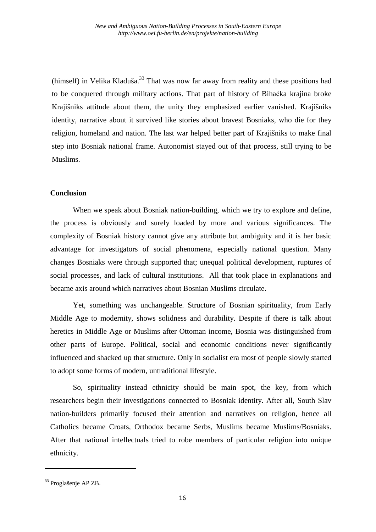(himself) in Velika Kladuša.<sup>33</sup> That was now far away from reality and these positions had to be conquered through military actions. That part of history of Bihaćka krajina broke Krajišniks attitude about them, the unity they emphasized earlier vanished. Krajišniks identity, narrative about it survived like stories about bravest Bosniaks, who die for they religion, homeland and nation. The last war helped better part of Krajišniks to make final step into Bosniak national frame. Autonomist stayed out of that process, still trying to be Muslims.

### **Conclusion**

When we speak about Bosniak nation-building, which we try to explore and define, the process is obviously and surely loaded by more and various significances. The complexity of Bosniak history cannot give any attribute but ambiguity and it is her basic advantage for investigators of social phenomena, especially national question. Many changes Bosniaks were through supported that; unequal political development, ruptures of social processes, and lack of cultural institutions. All that took place in explanations and became axis around which narratives about Bosnian Muslims circulate.

Yet, something was unchangeable. Structure of Bosnian spirituality, from Early Middle Age to modernity, shows solidness and durability. Despite if there is talk about heretics in Middle Age or Muslims after Ottoman income, Bosnia was distinguished from other parts of Europe. Political, social and economic conditions never significantly influenced and shacked up that structure. Only in socialist era most of people slowly started to adopt some forms of modern, untraditional lifestyle.

So, spirituality instead ethnicity should be main spot, the key, from which researchers begin their investigations connected to Bosniak identity. After all, South Slav nation-builders primarily focused their attention and narratives on religion, hence all Catholics became Croats, Orthodox became Serbs, Muslims became Muslims/Bosniaks. After that national intellectuals tried to robe members of particular religion into unique ethnicity.

<sup>&</sup>lt;sup>33</sup> Proglašenje AP ZB.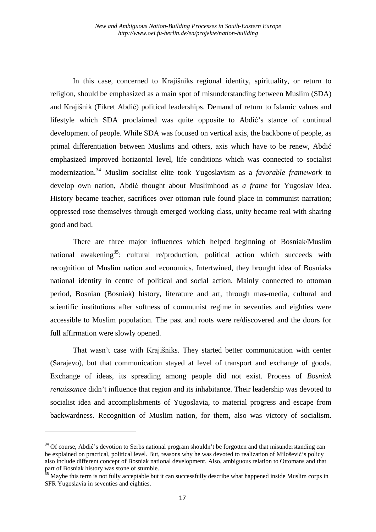In this case, concerned to Krajišniks regional identity, spirituality, or return to religion, should be emphasized as a main spot of misunderstanding between Muslim (SDA) and Krajišnik (Fikret Abdić) political leaderships. Demand of return to Islamic values and lifestyle which SDA proclaimed was quite opposite to Abdić's stance of continual development of people. While SDA was focused on vertical axis, the backbone of people, as primal differentiation between Muslims and others, axis which have to be renew, Abdić emphasized improved horizontal level, life conditions which was connected to socialist modernization.<sup>34</sup> Muslim socialist elite took Yugoslavism as a *favorable framework* to develop own nation, Abdić thought about Muslimhood as *a frame* for Yugoslav idea. History became teacher, sacrifices over ottoman rule found place in communist narration; oppressed rose themselves through emerged working class, unity became real with sharing good and bad.

There are three major influences which helped beginning of Bosniak/Muslim national awakening<sup>35</sup>: cultural re/production, political action which succeeds with recognition of Muslim nation and economics. Intertwined, they brought idea of Bosniaks national identity in centre of political and social action. Mainly connected to ottoman period, Bosnian (Bosniak) history, literature and art, through mas-media, cultural and scientific institutions after softness of communist regime in seventies and eighties were accessible to Muslim population. The past and roots were re/discovered and the doors for full affirmation were slowly opened.

That wasn't case with Krajišniks. They started better communication with center (Sarajevo), but that communication stayed at level of transport and exchange of goods. Exchange of ideas, its spreading among people did not exist. Process of *Bosniak renaissance* didn't influence that region and its inhabitance. Their leadership was devoted to socialist idea and accomplishments of Yugoslavia, to material progress and escape from backwardness. Recognition of Muslim nation, for them, also was victory of socialism.

<sup>&</sup>lt;sup>34</sup> Of course, Abdić's devotion to Serbs national program shouldn't be forgotten and that misunderstanding can be explained on practical, political level. But, reasons why he was devoted to realization of Milošević's policy also include different concept of Bosniak national development. Also, ambiguous relation to Ottomans and that part of Bosniak history was stone of stumble.

<sup>&</sup>lt;sup>35</sup> Maybe this term is not fully acceptable but it can successfully describe what happened inside Muslim corps in SFR Yugoslavia in seventies and eighties.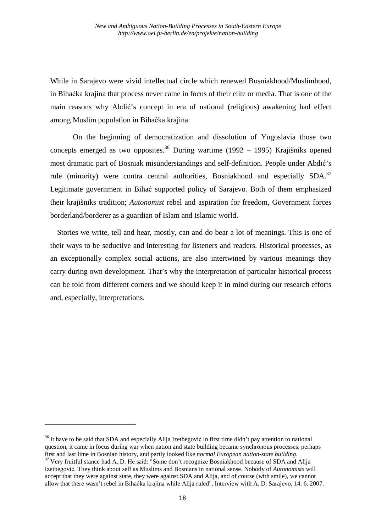While in Sarajevo were vivid intellectual circle which renewed Bosniakhood/Muslimhood, in Bihaćka krajina that process never came in focus of their elite or media. That is one of the main reasons why Abdić's concept in era of national (religious) awakening had effect among Muslim population in Bihaćka krajina.

On the beginning of democratization and dissolution of Yugoslavia those two concepts emerged as two opposites.<sup>36</sup> During wartime (1992 – 1995) Krajišniks opened most dramatic part of Bosniak misunderstandings and self-definition. People under Abdić's rule (minority) were contra central authorities, Bosniakhood and especially  $SDA$ <sup>37</sup> Legitimate government in Bihać supported policy of Sarajevo. Both of them emphasized their krajišniks tradition; *Autonomist* rebel and aspiration for freedom, Government forces borderland/borderer as a guardian of Islam and Islamic world.

 Stories we write, tell and hear, mostly, can and do bear a lot of meanings. This is one of their ways to be seductive and interesting for listeners and readers. Historical processes, as an exceptionally complex social actions, are also intertwined by various meanings they carry during own development. That's why the interpretation of particular historical process can be told from different corners and we should keep it in mind during our research efforts and, especially, interpretations.

<sup>&</sup>lt;sup>36</sup> It have to be said that SDA and especially Alija Izetbegović in first time didn't pay attention to national question, it came in focus during war when nation and state building became synchronous processes, perhaps first and last lime in Bosnian history, and partly looked like *normal European nation-state building*.

<sup>&</sup>lt;sup>37</sup> Very fruitful stance had A. D. He said: "Some don't recognize Bosniakhood because of SDA and Alija Izetbegović. They think about self as Muslims and Bosnians in national sense. Nobody of *Autonomists* will accept that they were against state, they were against SDA and Alija, and of course (with smile), we cannot allow that there wasn't rebel in Bihaćka krajina while Alija ruled". Interview with A. D. Sarajevo, 14. 6. 2007.